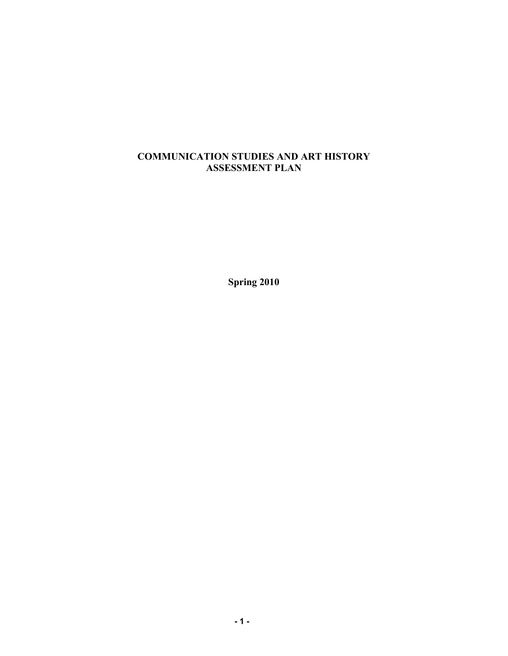## **COMMUNICATION STUDIES AND ART HISTORY ASSESSMENT PLAN**

**Spring 2010**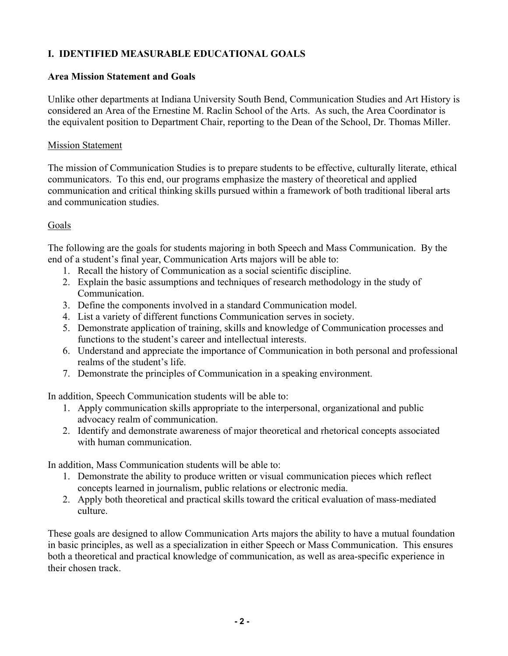# **I. IDENTIFIED MEASURABLE EDUCATIONAL GOALS**

## **Area Mission Statement and Goals**

Unlike other departments at Indiana University South Bend, Communication Studies and Art History is considered an Area of the Ernestine M. Raclin School of the Arts. As such, the Area Coordinator is the equivalent position to Department Chair, reporting to the Dean of the School, Dr. Thomas Miller.

### Mission Statement

The mission of Communication Studies is to prepare students to be effective, culturally literate, ethical communicators. To this end, our programs emphasize the mastery of theoretical and applied communication and critical thinking skills pursued within a framework of both traditional liberal arts and communication studies.

## Goals

The following are the goals for students majoring in both Speech and Mass Communication. By the end of a student's final year, Communication Arts majors will be able to:

- 1. Recall the history of Communication as a social scientific discipline.
- 2. Explain the basic assumptions and techniques of research methodology in the study of Communication.
- 3. Define the components involved in a standard Communication model.
- 4. List a variety of different functions Communication serves in society.
- 5. Demonstrate application of training, skills and knowledge of Communication processes and functions to the student's career and intellectual interests.
- 6. Understand and appreciate the importance of Communication in both personal and professional realms of the student's life.
- 7. Demonstrate the principles of Communication in a speaking environment.

In addition, Speech Communication students will be able to:

- 1. Apply communication skills appropriate to the interpersonal, organizational and public advocacy realm of communication.
- 2. Identify and demonstrate awareness of major theoretical and rhetorical concepts associated with human communication.

In addition, Mass Communication students will be able to:

- 1. Demonstrate the ability to produce written or visual communication pieces which reflect concepts learned in journalism, public relations or electronic media.
- 2. Apply both theoretical and practical skills toward the critical evaluation of mass-mediated culture.

These goals are designed to allow Communication Arts majors the ability to have a mutual foundation in basic principles, as well as a specialization in either Speech or Mass Communication. This ensures both a theoretical and practical knowledge of communication, as well as area-specific experience in their chosen track.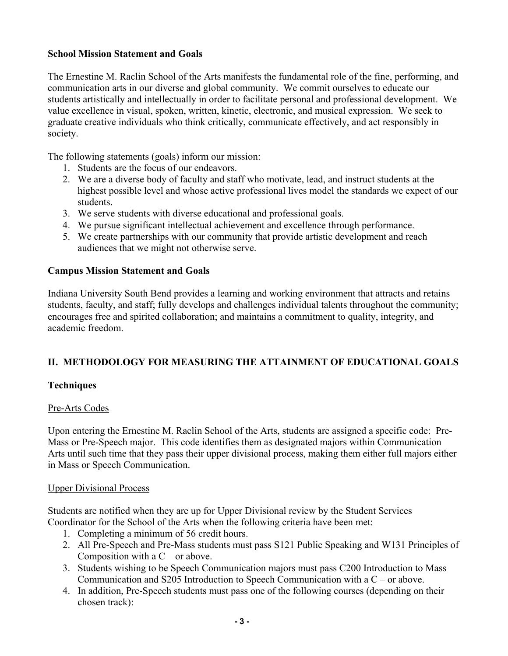### **School Mission Statement and Goals**

The Ernestine M. Raclin School of the Arts manifests the fundamental role of the fine, performing, and communication arts in our diverse and global community. We commit ourselves to educate our students artistically and intellectually in order to facilitate personal and professional development. We value excellence in visual, spoken, written, kinetic, electronic, and musical expression. We seek to graduate creative individuals who think critically, communicate effectively, and act responsibly in society.

The following statements (goals) inform our mission:

- 1. Students are the focus of our endeavors.
- 2. We are a diverse body of faculty and staff who motivate, lead, and instruct students at the highest possible level and whose active professional lives model the standards we expect of our students.
- 3. We serve students with diverse educational and professional goals.
- 4. We pursue significant intellectual achievement and excellence through performance.
- 5. We create partnerships with our community that provide artistic development and reach audiences that we might not otherwise serve.

## **Campus Mission Statement and Goals**

Indiana University South Bend provides a learning and working environment that attracts and retains students, faculty, and staff; fully develops and challenges individual talents throughout the community; encourages free and spirited collaboration; and maintains a commitment to quality, integrity, and academic freedom.

# **II. METHODOLOGY FOR MEASURING THE ATTAINMENT OF EDUCATIONAL GOALS**

### **Techniques**

### Pre-Arts Codes

Upon entering the Ernestine M. Raclin School of the Arts, students are assigned a specific code: Pre-Mass or Pre-Speech major. This code identifies them as designated majors within Communication Arts until such time that they pass their upper divisional process, making them either full majors either in Mass or Speech Communication.

### Upper Divisional Process

Students are notified when they are up for Upper Divisional review by the Student Services Coordinator for the School of the Arts when the following criteria have been met:

- 1. Completing a minimum of 56 credit hours.
- 2. All Pre-Speech and Pre-Mass students must pass S121 Public Speaking and W131 Principles of Composition with a  $C$  – or above.
- 3. Students wishing to be Speech Communication majors must pass C200 Introduction to Mass Communication and S205 Introduction to Speech Communication with a C – or above.
- 4. In addition, Pre-Speech students must pass one of the following courses (depending on their chosen track):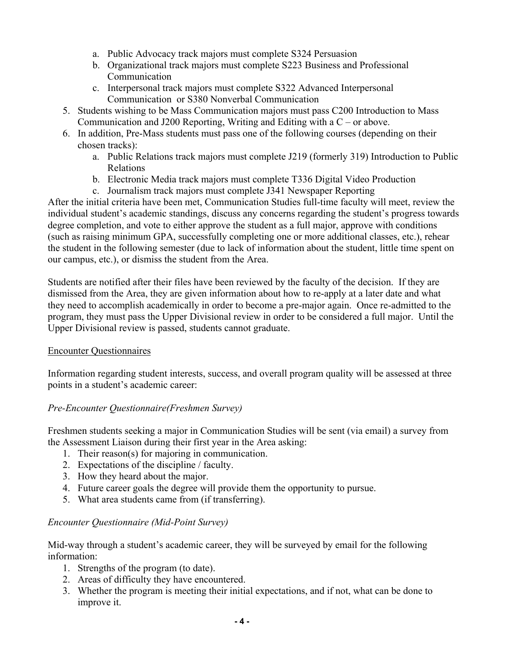- a. Public Advocacy track majors must complete S324 Persuasion
- b. Organizational track majors must complete S223 Business and Professional Communication
- c. Interpersonal track majors must complete S322 Advanced Interpersonal Communication or S380 Nonverbal Communication
- 5. Students wishing to be Mass Communication majors must pass C200 Introduction to Mass Communication and J200 Reporting, Writing and Editing with a C – or above.
- 6. In addition, Pre-Mass students must pass one of the following courses (depending on their chosen tracks):
	- a. Public Relations track majors must complete J219 (formerly 319) Introduction to Public Relations
	- b. Electronic Media track majors must complete T336 Digital Video Production
	- c. Journalism track majors must complete J341 Newspaper Reporting

After the initial criteria have been met, Communication Studies full-time faculty will meet, review the individual student's academic standings, discuss any concerns regarding the student's progress towards degree completion, and vote to either approve the student as a full major, approve with conditions (such as raising minimum GPA, successfully completing one or more additional classes, etc.), rehear the student in the following semester (due to lack of information about the student, little time spent on our campus, etc.), or dismiss the student from the Area.

Students are notified after their files have been reviewed by the faculty of the decision. If they are dismissed from the Area, they are given information about how to re-apply at a later date and what they need to accomplish academically in order to become a pre-major again. Once re-admitted to the program, they must pass the Upper Divisional review in order to be considered a full major. Until the Upper Divisional review is passed, students cannot graduate.

### Encounter Questionnaires

Information regarding student interests, success, and overall program quality will be assessed at three points in a student's academic career:

# *Pre-Encounter Questionnaire(Freshmen Survey)*

Freshmen students seeking a major in Communication Studies will be sent (via email) a survey from the Assessment Liaison during their first year in the Area asking:

- 1. Their reason(s) for majoring in communication.
- 2. Expectations of the discipline / faculty.
- 3. How they heard about the major.
- 4. Future career goals the degree will provide them the opportunity to pursue.
- 5. What area students came from (if transferring).

### *Encounter Questionnaire (Mid-Point Survey)*

Mid-way through a student's academic career, they will be surveyed by email for the following information:

- 1. Strengths of the program (to date).
- 2. Areas of difficulty they have encountered.
- 3. Whether the program is meeting their initial expectations, and if not, what can be done to improve it.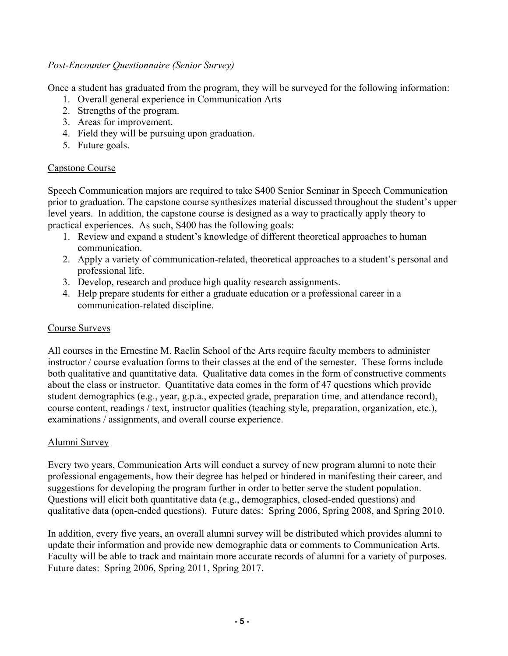#### *Post-Encounter Questionnaire (Senior Survey)*

Once a student has graduated from the program, they will be surveyed for the following information:

- 1. Overall general experience in Communication Arts
- 2. Strengths of the program.
- 3. Areas for improvement.
- 4. Field they will be pursuing upon graduation.
- 5. Future goals.

### Capstone Course

Speech Communication majors are required to take S400 Senior Seminar in Speech Communication prior to graduation. The capstone course synthesizes material discussed throughout the student's upper level years. In addition, the capstone course is designed as a way to practically apply theory to practical experiences. As such, S400 has the following goals:

- 1. Review and expand a student's knowledge of different theoretical approaches to human communication.
- 2. Apply a variety of communication-related, theoretical approaches to a student's personal and professional life.
- 3. Develop, research and produce high quality research assignments.
- 4. Help prepare students for either a graduate education or a professional career in a communication-related discipline.

#### Course Surveys

All courses in the Ernestine M. Raclin School of the Arts require faculty members to administer instructor / course evaluation forms to their classes at the end of the semester. These forms include both qualitative and quantitative data. Qualitative data comes in the form of constructive comments about the class or instructor. Quantitative data comes in the form of 47 questions which provide student demographics (e.g., year, g.p.a., expected grade, preparation time, and attendance record), course content, readings / text, instructor qualities (teaching style, preparation, organization, etc.), examinations / assignments, and overall course experience.

### Alumni Survey

Every two years, Communication Arts will conduct a survey of new program alumni to note their professional engagements, how their degree has helped or hindered in manifesting their career, and suggestions for developing the program further in order to better serve the student population. Questions will elicit both quantitative data (e.g., demographics, closed-ended questions) and qualitative data (open-ended questions). Future dates: Spring 2006, Spring 2008, and Spring 2010.

In addition, every five years, an overall alumni survey will be distributed which provides alumni to update their information and provide new demographic data or comments to Communication Arts. Faculty will be able to track and maintain more accurate records of alumni for a variety of purposes. Future dates: Spring 2006, Spring 2011, Spring 2017.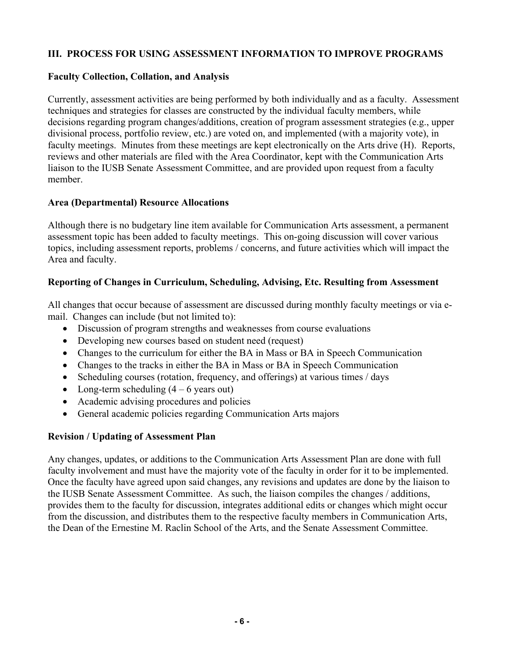### **III. PROCESS FOR USING ASSESSMENT INFORMATION TO IMPROVE PROGRAMS**

### **Faculty Collection, Collation, and Analysis**

Currently, assessment activities are being performed by both individually and as a faculty. Assessment techniques and strategies for classes are constructed by the individual faculty members, while decisions regarding program changes/additions, creation of program assessment strategies (e.g., upper divisional process, portfolio review, etc.) are voted on, and implemented (with a majority vote), in faculty meetings. Minutes from these meetings are kept electronically on the Arts drive (H). Reports, reviews and other materials are filed with the Area Coordinator, kept with the Communication Arts liaison to the IUSB Senate Assessment Committee, and are provided upon request from a faculty member.

## **Area (Departmental) Resource Allocations**

Although there is no budgetary line item available for Communication Arts assessment, a permanent assessment topic has been added to faculty meetings. This on-going discussion will cover various topics, including assessment reports, problems / concerns, and future activities which will impact the Area and faculty.

# **Reporting of Changes in Curriculum, Scheduling, Advising, Etc. Resulting from Assessment**

All changes that occur because of assessment are discussed during monthly faculty meetings or via email. Changes can include (but not limited to):

- Discussion of program strengths and weaknesses from course evaluations
- Developing new courses based on student need (request)
- Changes to the curriculum for either the BA in Mass or BA in Speech Communication
- Changes to the tracks in either the BA in Mass or BA in Speech Communication
- Scheduling courses (rotation, frequency, and offerings) at various times / days
- Long-term scheduling  $(4 6$  years out)
- Academic advising procedures and policies
- General academic policies regarding Communication Arts majors

# **Revision / Updating of Assessment Plan**

Any changes, updates, or additions to the Communication Arts Assessment Plan are done with full faculty involvement and must have the majority vote of the faculty in order for it to be implemented. Once the faculty have agreed upon said changes, any revisions and updates are done by the liaison to the IUSB Senate Assessment Committee. As such, the liaison compiles the changes / additions, provides them to the faculty for discussion, integrates additional edits or changes which might occur from the discussion, and distributes them to the respective faculty members in Communication Arts, the Dean of the Ernestine M. Raclin School of the Arts, and the Senate Assessment Committee.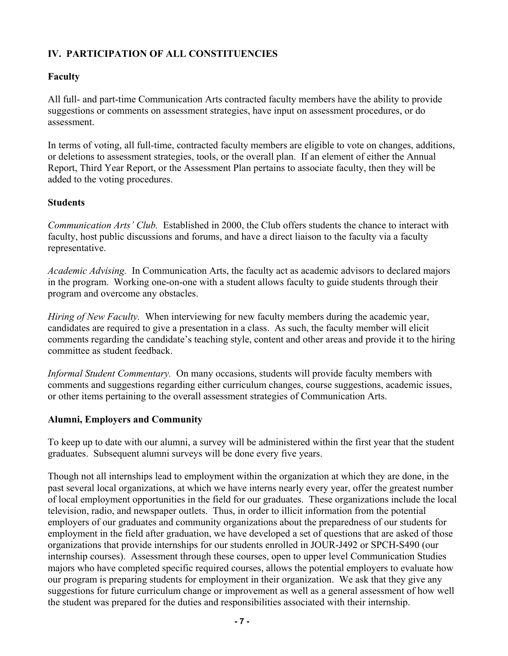# **IV. PARTICIPATION OF ALL CONSTITUENCIES**

## **Faculty**

All full- and part-time Communication Arts contracted faculty members have the ability to provide suggestions or comments on assessment strategies, have input on assessment procedures, or do assessment.

In terms of voting, all full-time, contracted faculty members are eligible to vote on changes, additions, or deletions to assessment strategies, tools, or the overall plan. If an element of either the Annual Report, Third Year Report, or the Assessment Plan pertains to associate faculty, then they will be added to the voting procedures.

## **Students**

*Communication Arts' Club.* Established in 2000, the Club offers students the chance to interact with faculty, host public discussions and forums, and have a direct liaison to the faculty via a faculty representative.

*Academic Advising.* In Communication Arts, the faculty act as academic advisors to declared majors in the program. Working one-on-one with a student allows faculty to guide students through their program and overcome any obstacles.

*Hiring of New Faculty.* When interviewing for new faculty members during the academic year, candidates are required to give a presentation in a class. As such, the faculty member will elicit comments regarding the candidate's teaching style, content and other areas and provide it to the hiring committee as student feedback.

*Informal Student Commentary.* On many occasions, students will provide faculty members with comments and suggestions regarding either curriculum changes, course suggestions, academic issues, or other items pertaining to the overall assessment strategies of Communication Arts.

# **Alumni, Employers and Community**

To keep up to date with our alumni, a survey will be administered within the first year that the student graduates. Subsequent alumni surveys will be done every five years.

Though not all internships lead to employment within the organization at which they are done, in the past several local organizations, at which we have interns nearly every year, offer the greatest number of local employment opportunities in the field for our graduates. These organizations include the local television, radio, and newspaper outlets. Thus, in order to illicit information from the potential employers of our graduates and community organizations about the preparedness of our students for employment in the field after graduation, we have developed a set of questions that are asked of those organizations that provide internships for our students enrolled in JOUR-J492 or SPCH-S490 (our internship courses). Assessment through these courses, open to upper level Communication Studies majors who have completed specific required courses, allows the potential employers to evaluate how our program is preparing students for employment in their organization. We ask that they give any suggestions for future curriculum change or improvement as well as a general assessment of how well the student was prepared for the duties and responsibilities associated with their internship.